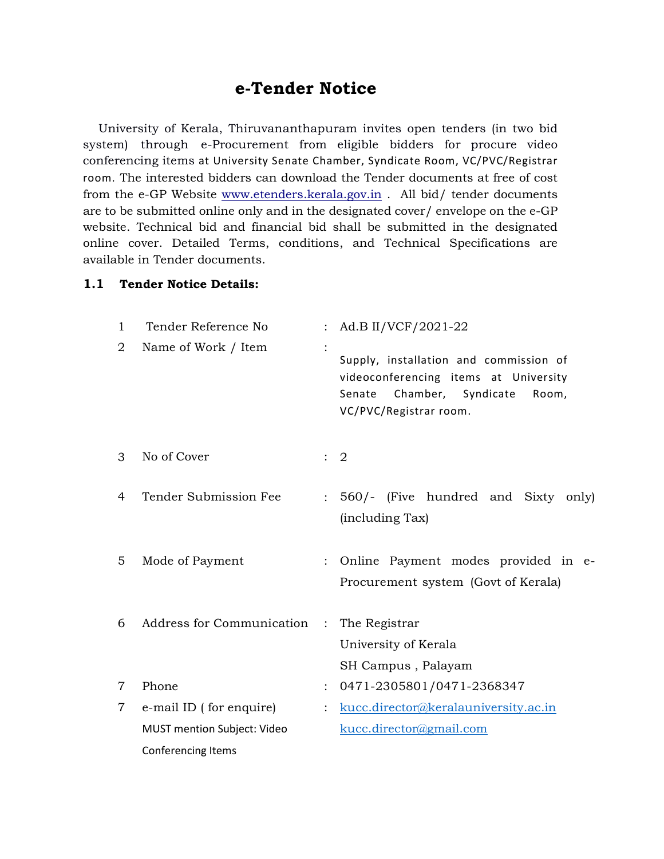## e-Tender Notice

 University of Kerala, Thiruvananthapuram invites open tenders (in two bid system) through e-Procurement from eligible bidders for procure video conferencing items at University Senate Chamber, Syndicate Room, VC/PVC/Registrar room. The interested bidders can download the Tender documents at free of cost from the e-GP Website www.etenders.kerala.gov.in . All bid/ tender documents are to be submitted online only and in the designated cover/ envelope on the e-GP website. Technical bid and financial bid shall be submitted in the designated online cover. Detailed Terms, conditions, and Technical Specifications are available in Tender documents.

## 1.1 Tender Notice Details:

| 1              | Tender Reference No         |               | : Ad.B II/VCF/2021-22                                                                                                                              |
|----------------|-----------------------------|---------------|----------------------------------------------------------------------------------------------------------------------------------------------------|
| $\overline{2}$ | Name of Work / Item         |               | Supply, installation and commission of<br>videoconferencing items at University<br>Chamber, Syndicate<br>Senate<br>Room,<br>VC/PVC/Registrar room. |
| 3              | No of Cover                 |               | $\therefore$ 2                                                                                                                                     |
| 4              | Tender Submission Fee       | $\mathcal{L}$ | 560/- (Five hundred and Sixty only)<br>(including Tax)                                                                                             |
| 5              | Mode of Payment             | $\mathcal{L}$ | Online Payment modes provided in e-<br>Procurement system (Govt of Kerala)                                                                         |
| 6              | Address for Communication   | $\sim$ 1.     | The Registrar<br>University of Kerala<br>SH Campus, Palayam                                                                                        |
| $\overline{7}$ | Phone                       |               | 0471-2305801/0471-2368347                                                                                                                          |
| $\overline{7}$ | e-mail ID (for enquire)     |               | kucc.director@keralauniversity.ac.in                                                                                                               |
|                | MUST mention Subject: Video |               | kucc.director@gmail.com                                                                                                                            |
|                | Conferencing Items          |               |                                                                                                                                                    |